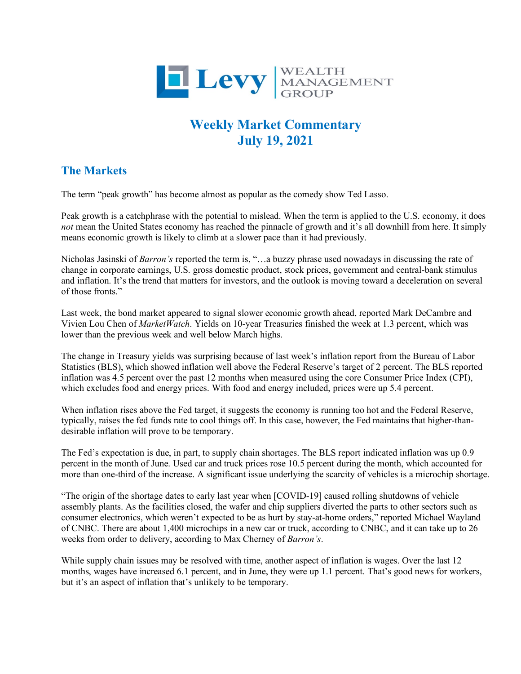

## **Weekly Market Commentary July 19, 2021**

## **The Markets**

The term "peak growth" has become almost as popular as the comedy show Ted Lasso.

Peak growth is a catchphrase with the potential to mislead. When the term is applied to the U.S. economy, it does *not* mean the United States economy has reached the pinnacle of growth and it's all downhill from here. It simply means economic growth is likely to climb at a slower pace than it had previously.

Nicholas Jasinski of *Barron's* reported the term is, "…a buzzy phrase used nowadays in discussing the rate of change in corporate earnings, U.S. gross domestic product, stock prices, government and central-bank stimulus and inflation. It's the trend that matters for investors, and the outlook is moving toward a deceleration on several of those fronts."

Last week, the bond market appeared to signal slower economic growth ahead, reported Mark DeCambre and Vivien Lou Chen of *MarketWatch*. Yields on 10-year Treasuries finished the week at 1.3 percent, which was lower than the previous week and well below March highs.

The change in Treasury yields was surprising because of last week's inflation report from the Bureau of Labor Statistics (BLS), which showed inflation well above the Federal Reserve's target of 2 percent. The BLS reported inflation was 4.5 percent over the past 12 months when measured using the core Consumer Price Index (CPI), which excludes food and energy prices. With food and energy included, prices were up 5.4 percent.

When inflation rises above the Fed target, it suggests the economy is running too hot and the Federal Reserve, typically, raises the fed funds rate to cool things off. In this case, however, the Fed maintains that higher-thandesirable inflation will prove to be temporary.

The Fed's expectation is due, in part, to supply chain shortages. The BLS report indicated inflation was up 0.9 percent in the month of June. Used car and truck prices rose 10.5 percent during the month, which accounted for more than one-third of the increase. A significant issue underlying the scarcity of vehicles is a microchip shortage.

"The origin of the shortage dates to early last year when [COVID-19] caused rolling shutdowns of vehicle assembly plants. As the facilities closed, the wafer and chip suppliers diverted the parts to other sectors such as consumer electronics, which weren't expected to be as hurt by stay-at-home orders," reported Michael Wayland of CNBC. There are about 1,400 microchips in a new car or truck, according to CNBC, and it can take up to 26 weeks from order to delivery, according to Max Cherney of *Barron's*.

While supply chain issues may be resolved with time, another aspect of inflation is wages. Over the last 12 months, wages have increased 6.1 percent, and in June, they were up 1.1 percent. That's good news for workers, but it's an aspect of inflation that's unlikely to be temporary.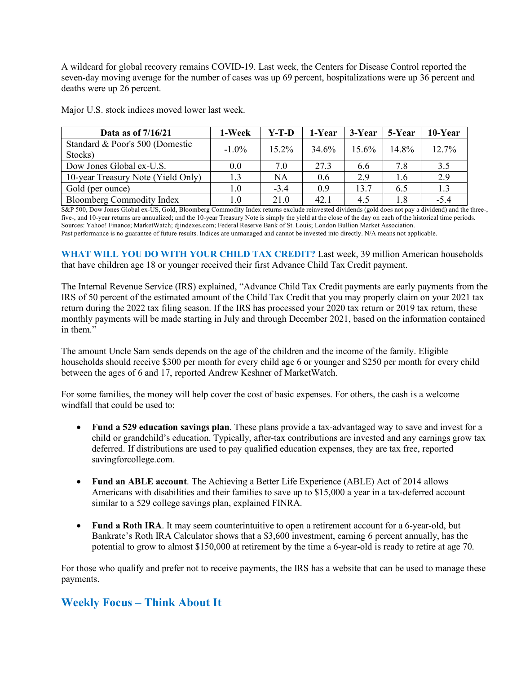A wildcard for global recovery remains COVID-19. Last week, the Centers for Disease Control reported the seven-day moving average for the number of cases was up 69 percent, hospitalizations were up 36 percent and deaths were up 26 percent.

| Data as of 7/16/21                 | 1-Week   | Y-T-D     | 1-Year | 3-Year | 5-Year | 10-Year |
|------------------------------------|----------|-----------|--------|--------|--------|---------|
| Standard & Poor's 500 (Domestic    | $-1.0\%$ | $15.2\%$  | 34.6%  | 15.6%  | 14.8%  | 12.7%   |
| Stocks)                            |          |           |        |        |        |         |
| Dow Jones Global ex-U.S.           | $0.0\,$  | 7.0       | 27.3   | 6.6    | 7.8    | 3.5     |
| 10-year Treasury Note (Yield Only) | 1.3      | <b>NA</b> | 0.6    | 2.9    | 1.6    | 2.9     |
| Gold (per ounce)                   | $1.0\,$  | $-3.4$    | 0.9    | 13.7   | 6.5    | 1.3     |
| <b>Bloomberg Commodity Index</b>   | 1.0      | 21.0      | 42.1   | 4.5    | 1.8    | $-5.4$  |

Major U.S. stock indices moved lower last week.

S&P 500, Dow Jones Global ex-US, Gold, Bloomberg Commodity Index returns exclude reinvested dividends (gold does not pay a dividend) and the three-, five-, and 10-year returns are annualized; and the 10-year Treasury Note is simply the yield at the close of the day on each of the historical time periods. Sources: Yahoo! Finance; MarketWatch; djindexes.com; Federal Reserve Bank of St. Louis; London Bullion Market Association. Past performance is no guarantee of future results. Indices are unmanaged and cannot be invested into directly. N/A means not applicable.

**WHAT WILL YOU DO WITH YOUR CHILD TAX CREDIT?** Last week, 39 million American households that have children age 18 or younger received their first Advance Child Tax Credit payment.

The Internal Revenue Service (IRS) explained, "Advance Child Tax Credit payments are early payments from the IRS of 50 percent of the estimated amount of the Child Tax Credit that you may properly claim on your 2021 tax return during the 2022 tax filing season. If the IRS has processed your 2020 tax return or 2019 tax return, these monthly payments will be made starting in July and through December 2021, based on the information contained in them."

The amount Uncle Sam sends depends on the age of the children and the income of the family. Eligible households should receive \$300 per month for every child age 6 or younger and \$250 per month for every child between the ages of 6 and 17, reported Andrew Keshner of MarketWatch.

For some families, the money will help cover the cost of basic expenses. For others, the cash is a welcome windfall that could be used to:

- **Fund a 529 education savings plan**. These plans provide a tax-advantaged way to save and invest for a child or grandchild's education. Typically, after-tax contributions are invested and any earnings grow tax deferred. If distributions are used to pay qualified education expenses, they are tax free, reported savingforcollege.com.
- **Fund an ABLE account**. The Achieving a Better Life Experience (ABLE) Act of 2014 allows Americans with disabilities and their families to save up to \$15,000 a year in a tax-deferred account similar to a 529 college savings plan, explained FINRA.
- **Fund a Roth IRA**. It may seem counterintuitive to open a retirement account for a 6-year-old, but Bankrate's Roth IRA Calculator shows that a \$3,600 investment, earning 6 percent annually, has the potential to grow to almost \$150,000 at retirement by the time a 6-year-old is ready to retire at age 70.

For those who qualify and prefer not to receive payments, the IRS has a website that can be used to manage these payments.

## **Weekly Focus – Think About It**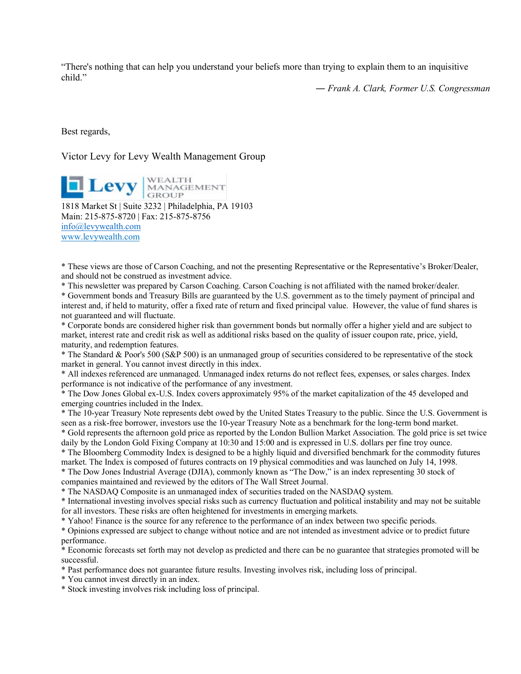"There's nothing that can help you understand your beliefs more than trying to explain them to an inquisitive child."

*― Frank A. Clark, Former U.S. Congressman*

Best regards,

## Victor Levy for Levy Wealth Management Group

**Levy** MANAGEMENT 1818 Market St | Suite 3232 | Philadelphia, PA 19103 Main: 215-875-8720 | Fax: 215-875-8756 [info@levywealth.com](mailto:info@levywealth.com) [www.levywealth.com](http://www.levywealth.com/)

\* These views are those of Carson Coaching, and not the presenting Representative or the Representative's Broker/Dealer, and should not be construed as investment advice.

\* This newsletter was prepared by Carson Coaching. Carson Coaching is not affiliated with the named broker/dealer.

\* Government bonds and Treasury Bills are guaranteed by the U.S. government as to the timely payment of principal and interest and, if held to maturity, offer a fixed rate of return and fixed principal value. However, the value of fund shares is not guaranteed and will fluctuate.

\* Corporate bonds are considered higher risk than government bonds but normally offer a higher yield and are subject to market, interest rate and credit risk as well as additional risks based on the quality of issuer coupon rate, price, yield, maturity, and redemption features.

\* The Standard & Poor's 500 (S&P 500) is an unmanaged group of securities considered to be representative of the stock market in general. You cannot invest directly in this index.

\* All indexes referenced are unmanaged. Unmanaged index returns do not reflect fees, expenses, or sales charges. Index performance is not indicative of the performance of any investment.

\* The Dow Jones Global ex-U.S. Index covers approximately 95% of the market capitalization of the 45 developed and emerging countries included in the Index.

\* The 10-year Treasury Note represents debt owed by the United States Treasury to the public. Since the U.S. Government is seen as a risk-free borrower, investors use the 10-year Treasury Note as a benchmark for the long-term bond market.

\* Gold represents the afternoon gold price as reported by the London Bullion Market Association. The gold price is set twice daily by the London Gold Fixing Company at 10:30 and 15:00 and is expressed in U.S. dollars per fine troy ounce.

\* The Bloomberg Commodity Index is designed to be a highly liquid and diversified benchmark for the commodity futures market. The Index is composed of futures contracts on 19 physical commodities and was launched on July 14, 1998.

\* The Dow Jones Industrial Average (DJIA), commonly known as "The Dow," is an index representing 30 stock of companies maintained and reviewed by the editors of The Wall Street Journal.

\* The NASDAQ Composite is an unmanaged index of securities traded on the NASDAQ system.

\* International investing involves special risks such as currency fluctuation and political instability and may not be suitable for all investors. These risks are often heightened for investments in emerging markets.

\* Yahoo! Finance is the source for any reference to the performance of an index between two specific periods.

\* Opinions expressed are subject to change without notice and are not intended as investment advice or to predict future performance.

\* Economic forecasts set forth may not develop as predicted and there can be no guarantee that strategies promoted will be successful.

\* Past performance does not guarantee future results. Investing involves risk, including loss of principal.

\* You cannot invest directly in an index.

\* Stock investing involves risk including loss of principal.